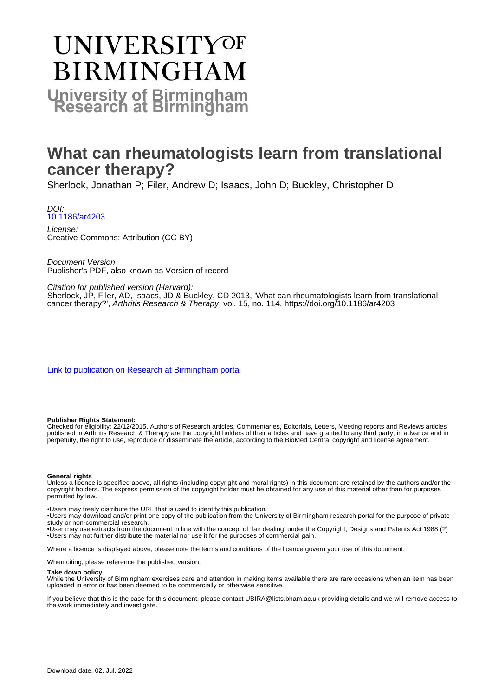# **UNIVERSITYOF BIRMINGHAM University of Birmingham**

# **What can rheumatologists learn from translational cancer therapy?**

Sherlock, Jonathan P; Filer, Andrew D; Isaacs, John D; Buckley, Christopher D

DOI: [10.1186/ar4203](https://doi.org/10.1186/ar4203)

License: Creative Commons: Attribution (CC BY)

Document Version Publisher's PDF, also known as Version of record

Citation for published version (Harvard):

Sherlock, JP, Filer, AD, Isaacs, JD & Buckley, CD 2013, 'What can rheumatologists learn from translational cancer therapy?', Arthritis Research & Therapy, vol. 15, no. 114.<https://doi.org/10.1186/ar4203>

[Link to publication on Research at Birmingham portal](https://birmingham.elsevierpure.com/en/publications/175ca247-1b10-4a55-993f-1c0aaa4cb6b5)

# **Publisher Rights Statement:**

Checked for eligibility: 22/12/2015. Authors of Research articles, Commentaries, Editorials, Letters, Meeting reports and Reviews articles published in Arthritis Research & Therapy are the copyright holders of their articles and have granted to any third party, in advance and in perpetuity, the right to use, reproduce or disseminate the article, according to the BioMed Central copyright and license agreement.

# **General rights**

Unless a licence is specified above, all rights (including copyright and moral rights) in this document are retained by the authors and/or the copyright holders. The express permission of the copyright holder must be obtained for any use of this material other than for purposes permitted by law.

• Users may freely distribute the URL that is used to identify this publication.

• Users may download and/or print one copy of the publication from the University of Birmingham research portal for the purpose of private study or non-commercial research.

• User may use extracts from the document in line with the concept of 'fair dealing' under the Copyright, Designs and Patents Act 1988 (?) • Users may not further distribute the material nor use it for the purposes of commercial gain.

Where a licence is displayed above, please note the terms and conditions of the licence govern your use of this document.

When citing, please reference the published version.

# **Take down policy**

While the University of Birmingham exercises care and attention in making items available there are rare occasions when an item has been uploaded in error or has been deemed to be commercially or otherwise sensitive.

If you believe that this is the case for this document, please contact UBIRA@lists.bham.ac.uk providing details and we will remove access to the work immediately and investigate.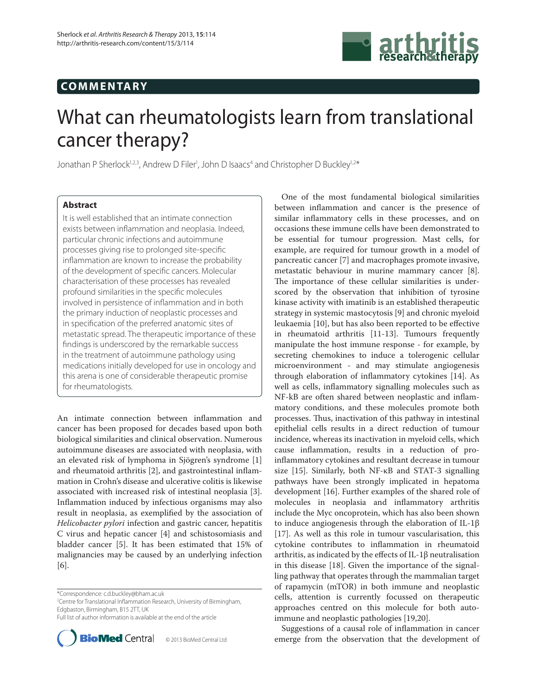# **COMMENTARY**



# What can rheumatologists learn from translational cancer therapy?

Jonathan P Sherlock<sup>1,2,3</sup>, Andrew D Filer<sup>1</sup>, John D Isaacs<sup>4</sup> and Christopher D Buckley<sup>1,2\*</sup>

# **Abstract**

It is well established that an intimate connection exists between inflammation and neoplasia. Indeed, particular chronic infections and autoimmune processes giving rise to prolonged site-specific inflammation are known to increase the probability of the development of specific cancers. Molecular characterisation of these processes has revealed profound similarities in the specific molecules involved in persistence of inflammation and in both the primary induction of neoplastic processes and in specification of the preferred anatomic sites of metastatic spread. The therapeutic importance of these findings is underscored by the remarkable success in the treatment of autoimmune pathology using medications initially developed for use in oncology and this arena is one of considerable therapeutic promise for rheumatologists.

An intimate connection between inflammation and cancer has been proposed for decades based upon both biological similarities and clinical observation. Numerous autoimmune diseases are associated with neoplasia, with an elevated risk of lymphoma in Sjögren's syndrome [1] and rheumatoid arthritis [2], and gastrointestinal inflammation in Crohn's disease and ulcerative colitis is likewise associated with increased risk of intestinal neoplasia [3]. Inflammation induced by infectious organisms may also result in neoplasia, as exemplified by the association of *Helicobacter pylori* infection and gastric cancer, hepatitis C virus and hepatic cancer [4] and schistosomiasis and bladder cancer [5]. It has been estimated that 15% of malignancies may be caused by an underlying infection [6].

\*Correspondence: c.d.buckley@bham.ac.uk

<sup>2</sup>Centre for Translational Inflammation Research, University of Birmingham, Edgbaston, Birmingham, B15 2TT, UK

Full list of author information is available at the end of the article



© 2013 BioMed Central Ltd

One of the most fundamental biological similarities between inflammation and cancer is the presence of similar inflammatory cells in these processes, and on occasions these immune cells have been demonstrated to be essential for tumour progression. Mast cells, for example, are required for tumour growth in a model of pancreatic cancer [7] and macrophages promote invasive, metastatic behaviour in murine mammary cancer [8]. The importance of these cellular similarities is underscored by the observation that inhibition of tyrosine kinase activity with imatinib is an established therapeutic strategy in systemic mastocytosis [9] and chronic myeloid leukaemia [10], but has also been reported to be effective in rheumatoid arthritis [11-13]. Tumours frequently manipulate the host immune response - for example, by secreting chemokines to induce a tolerogenic cellular microenvironment - and may stimulate angiogenesis through elaboration of inflammatory cytokines [14]. As well as cells, inflammatory signalling molecules such as NF-kB are often shared between neoplastic and inflammatory conditions, and these molecules promote both processes. Thus, inactivation of this pathway in intestinal epithelial cells results in a direct reduction of tumour incidence, whereas its inactivation in myeloid cells, which cause inflammation, results in a reduction of proinflammatory cytokines and resultant decrease in tumour size [15]. Similarly, both NF-κB and STAT-3 signalling pathways have been strongly implicated in hepatoma development [16]. Further examples of the shared role of molecules in neoplasia and inflammatory arthritis include the Myc oncoprotein, which has also been shown to induce angiogenesis through the elaboration of IL-1β [17]. As well as this role in tumour vascularisation, this cytokine contributes to inflammation in rheumatoid arthritis, as indicated by the effects of IL-1 $\beta$  neutralisation in this disease [18]. Given the importance of the signalling pathway that operates through the mammalian target of rapamycin (mTOR) in both immune and neoplastic cells, attention is currently focussed on therapeutic approaches centred on this molecule for both autoimmune and neoplastic pathologies [19,20].

Suggestions of a causal role of inflammation in cancer emerge from the observation that the development of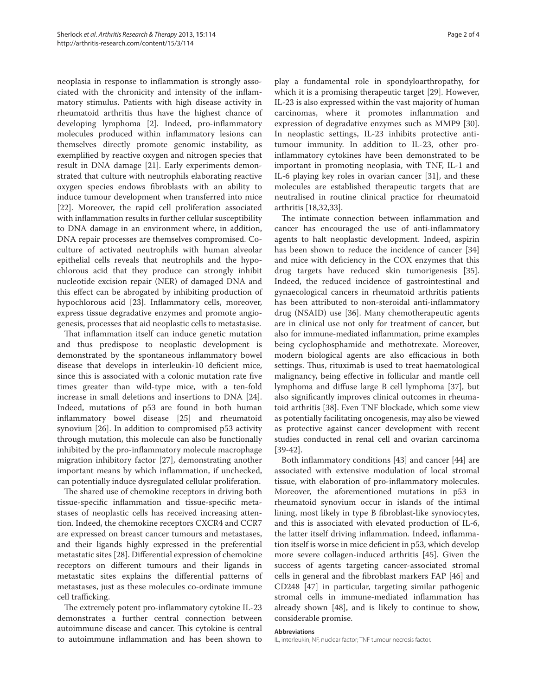neoplasia in response to inflammation is strongly associated with the chronicity and intensity of the inflammatory stimulus. Patients with high disease activity in rheumatoid arthritis thus have the highest chance of developing lymphoma [2]. Indeed, pro-inflammatory molecules produced within inflammatory lesions can themselves directly promote genomic instability, as exemplified by reactive oxygen and nitrogen species that result in DNA damage [21]. Early experiments demonstrated that culture with neutrophils elaborating reactive oxygen species endows fibroblasts with an ability to induce tumour development when transferred into mice [22]. Moreover, the rapid cell proliferation associated with inflammation results in further cellular susceptibility to DNA damage in an environment where, in addition, DNA repair processes are themselves compromised. Coculture of activated neutrophils with human alveolar epithelial cells reveals that neutrophils and the hypochlorous acid that they produce can strongly inhibit nucleotide excision repair (NER) of damaged DNA and this effect can be abrogated by inhibiting production of hypochlorous acid [23]. Inflammatory cells, moreover, express tissue degradative enzymes and promote angiogenesis, processes that aid neoplastic cells to metastasise.

That inflammation itself can induce genetic mutation and thus predispose to neoplastic development is demonstrated by the spontaneous inflammatory bowel disease that develops in interleukin-10 deficient mice, since this is associated with a colonic mutation rate five times greater than wild-type mice, with a ten-fold increase in small deletions and insertions to DNA [24]. Indeed, mutations of p53 are found in both human inflammatory bowel disease [25] and rheumatoid synovium [26]. In addition to compromised p53 activity through mutation, this molecule can also be functionally inhibited by the pro-inflammatory molecule macrophage migration inhibitory factor [27], demonstrating another important means by which inflammation, if unchecked, can potentially induce dysregulated cellular proliferation.

The shared use of chemokine receptors in driving both tissue-specific inflammation and tissue-specific metastases of neoplastic cells has received increasing attention. Indeed, the chemokine receptors CXCR4 and CCR7 are expressed on breast cancer tumours and metastases, and their ligands highly expressed in the preferential metastatic sites [28]. Differential expression of chemokine receptors on different tumours and their ligands in metastatic sites explains the differential patterns of metastases, just as these molecules co-ordinate immune cell trafficking.

The extremely potent pro-inflammatory cytokine IL-23 demonstrates a further central connection between autoimmune disease and cancer. This cytokine is central to autoimmune inflammation and has been shown to play a fundamental role in spondyloarthropathy, for which it is a promising therapeutic target [29]. However, IL-23 is also expressed within the vast majority of human carcinomas, where it promotes inflammation and expression of degradative enzymes such as MMP9 [30]. In neoplastic settings, IL-23 inhibits protective antitumour immunity. In addition to IL-23, other proinflammatory cytokines have been demonstrated to be important in promoting neoplasia, with TNF, IL-1 and IL-6 playing key roles in ovarian cancer [31], and these molecules are established therapeutic targets that are neutralised in routine clinical practice for rheumatoid arthritis [18,32,33].

The intimate connection between inflammation and cancer has encouraged the use of anti-inflammatory agents to halt neoplastic development. Indeed, aspirin has been shown to reduce the incidence of cancer [34] and mice with deficiency in the COX enzymes that this drug targets have reduced skin tumorigenesis [35]. Indeed, the reduced incidence of gastrointestinal and gynaecological cancers in rheumatoid arthritis patients has been attributed to non-steroidal anti-inflammatory drug (NSAID) use [36]. Many chemotherapeutic agents are in clinical use not only for treatment of cancer, but also for immune-mediated inflammation, prime examples being cyclophosphamide and methotrexate. Moreover, modern biological agents are also efficacious in both settings. Thus, rituximab is used to treat haematological malignancy, being effective in follicular and mantle cell lymphoma and diffuse large B cell lymphoma [37], but also significantly improves clinical outcomes in rheumatoid arthritis [38]. Even TNF blockade, which some view as potentially facilitating oncogenesis, may also be viewed as protective against cancer development with recent studies conducted in renal cell and ovarian carcinoma [39-42].

Both inflammatory conditions  $[43]$  and cancer  $[44]$  are associated with extensive modulation of local stromal tissue, with elaboration of pro-inflammatory molecules. Moreover, the aforementioned mutations in p53 in rheumatoid synovium occur in islands of the intimal lining, most likely in type B fibroblast-like synoviocytes, and this is associated with elevated production of IL-6, the latter itself driving inflammation. Indeed, inflammation itself is worse in mice deficient in p53, which develop more severe collagen-induced arthritis [45]. Given the success of agents targeting cancer-associated stromal cells in general and the fibroblast markers FAP [46] and CD248 [47] in particular, targeting similar pathogenic stromal cells in immune-mediated inflammation has already shown [48], and is likely to continue to show, considerable promise.

## **Abbreviations**

IL, interleukin; NF, nuclear factor; TNF tumour necrosis factor.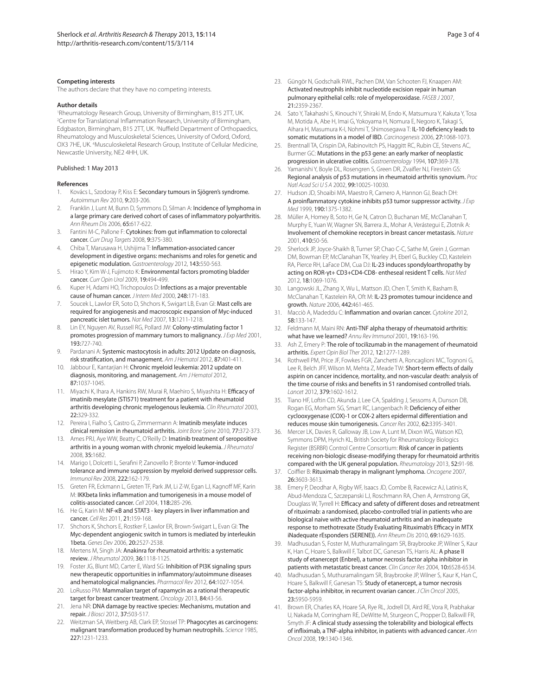# **Competing interests**

The authors declare that they have no competing interests.

#### **Author details**

1 Rheumatology Research Group, University of Birmingham, B15 2TT, UK. <sup>2</sup> Centre for Translational Inflammation Research, University of Birmingham, Edgbaston, Birmingham, B15 2TT, UK. <sup>3</sup>Nuffield Department of Orthopaedics, Rheumatology and Musculoskeletal Sciences, University of Oxford, Oxford, OX3 7HE, UK. <sup>4</sup>Musculoskeletal Research Group, Institute of Cellular Medicine, Newcastle University, NE2 4HH, UK.

### Published: 1 May 2013

### **References**

- Kovács L, Szodoray P, Kiss E: Secondary tumours in Sjögren's syndrome. Autoimmun Rev 2010, 9:203-206.
- Franklin J, Lunt M, Bunn D, Symmons D, Silman A: Incidence of lymphoma in a large primary care derived cohort of cases of inflammatory polyarthritis. Ann Rheum Dis 2006, 65:617-622.
- Fantini M-C, Pallone F: Cytokines: from gut inflammation to colorectal cancer. Curr Drug Targets 2008, 9:375-380.
- Chiba T, Marusawa H, Ushijima T: Inflammation-associated cancer development in digestive organs: mechanisms and roles for genetic and epigenetic modulation. Gastroenterology 2012, 143:550-563.
- 5. Hirao Y, Kim W-J, Fujimoto K: Environmental factors promoting bladder cancer. Curr Opin Urol 2009, 19:494-499.
- 6. Kuper H, Adami HO, Trichopoulos D: Infections as a major preventable cause of human cancer. J Intern Med 2000, 248:171-183.
- 7. Soucek L, Lawlor ER, Soto D, Shchors K, Swigart LB, Evan GI: Mast cells are required for angiogenesis and macroscopic expansion of Myc-induced pancreatic islet tumors. Nat Med 2007, 13:1211-1218.
- 8. Lin EY, Nguyen AV, Russell RG, Pollard JW: Colony-stimulating factor 1 promotes progression of mammary tumors to malignancy. J Exp Med 2001, 193:727-740.
- 9. Pardanani A: Systemic mastocytosis in adults: 2012 Update on diagnosis, risk stratification, and management. Am J Hematol 2012, 87:401-411.
- 10. Jabbour E, Kantarjian H: Chronic myeloid leukemia: 2012 update on diagnosis, monitoring, and management. Am J Hematol 2012, 87:1037-1045.
- 11. Miyachi K, Ihara A, Hankins RW, Murai R, Maehiro S, Miyashita H: Efficacy of imatinib mesylate (STI571) treatment for a patient with rheumatoid arthritis developing chronic myelogenous leukemia. Clin Rheumatol 2003, 22:329-332.
- 12. Pereira I, Fialho S, Castro G, Zimmermann A: Imatinib mesylate induces clinical remission in rheumatoid arthritis. Joint Bone Spine 2010, 77:372-373.
- 13. Ames PRJ, Aye WW, Beatty C, O'Reilly D: Imatinib treatment of seropositive arthritis in a young woman with chronic myeloid leukemia. J Rheumatol 2008, 35:1682.
- 14. Marigo I, Dolcetti L, Serafini P, Zanovello P, Bronte V: Tumor-induced tolerance and immune suppression by myeloid derived suppressor cells. Immunol Rev 2008, 222:162-179.
- 15. Greten FR, Eckmann L, Greten TF, Park JM, Li Z-W, Egan LJ, Kagnoff MF, Karin M: IKKbeta links inflammation and tumorigenesis in a mouse model of colitis-associated cancer. Cell 2004, 118:285-296.
- 16. He G, Karin M: NF-κB and STAT3 key players in liver inflammation and cancer. Cell Res 2011, 21:159-168.
- 17. Shchors K, Shchors E, Rostker F, Lawlor ER, Brown-Swigart L, Evan GI: The Myc-dependent angiogenic switch in tumors is mediated by interleukin 1beta. Genes Dev 2006, 20:2527-2538.
- 18. Mertens M, Singh JA: Anakinra for rheumatoid arthritis: a systematic review. J Rheumatol 2009, 36:1118-1125.
- 19. Foster JG, Blunt MD, Carter E, Ward SG: Inhibition of PI3K signaling spurs new therapeutic opportunities in inflammatory/autoimmune diseases and hematological malignancies. Pharmacol Rev 2012, 64:1027-1054.
- 20. LoRusso PM: Mammalian target of rapamycin as a rational therapeutic target for breast cancer treatment. Oncology 2013, 84:43-56.
- 21. Jena NR: DNA damage by reactive species: Mechanisms, mutation and repair. J Biosci 2012, 37:503-517.
- 22. Weitzman SA, Weitberg AB, Clark EP, Stossel TP: Phagocytes as carcinogens: malignant transformation produced by human neutrophils. Science 1985, 227:1231-1233.
- 23. Güngör N, Godschalk RWL, Pachen DM, Van Schooten FJ, Knaapen AM: Activated neutrophils inhibit nucleotide excision repair in human pulmonary epithelial cells: role of myeloperoxidase. FASEB J 2007, 21:2359-2367.
- 24. Sato Y, Takahashi S, Kinouchi Y, Shiraki M, Endo K, Matsumura Y, Kakuta Y, Tosa M, Motida A, Abe H, Imai G, Yokoyama H, Nomura E, Negoro K, Takagi S, Aihara H, Masumura K-I, Nohmi T, Shimosegawa T: IL-10 deficiency leads to somatic mutations in a model of IBD. Carcinogenesis 2006, 27:1068-1073.
- 25. Brentnall TA, Crispin DA, Rabinovitch PS, Haggitt RC, Rubin CE, Stevens AC, Burmer GC: Mutations in the p53 gene: an early marker of neoplastic progression in ulcerative colitis. Gastroenterology 1994, 107:369-378.
- 26. Yamanishi Y, Boyle DL, Rosengren S, Green DR, Zvaifler NJ, Firestein GS: Regional analysis of p53 mutations in rheumatoid arthritis synovium. Proc Natl Acad Sci U S A 2002, 99:10025-10030.
- Hudson JD, Shoaibi MA, Maestro R, Carnero A, Hannon GJ, Beach DH: A proinflammatory cytokine inhibits p53 tumor suppressor activity.  $JExp$ Med 1999, 190:1375-1382.
- 28. Müller A, Homey B, Soto H, Ge N, Catron D, Buchanan ME, McClanahan T, Murphy E, Yuan W, Wagner SN, Barrera JL, Mohar A, Verástegui E, Zlotnik A: Involvement of chemokine receptors in breast cancer metastasis. Nature 2001, 410:50-56.
- 29. Sherlock JP, Joyce-Shaikh B, Turner SP, Chao C-C, Sathe M, Grein J, Gorman DM, Bowman EP, McClanahan TK, Yearley JH, Eberl G, Buckley CD, Kastelein RA, Pierce RH, LaFace DM, Cua DJ: IL-23 induces spondyloarthropathy by acting on ROR-γt+ CD3+CD4-CD8- entheseal resident T cells. Nat Med 2012, 18:1069-1076.
- 30. Langowski JL, Zhang X, Wu L, Mattson JD, Chen T, Smith K, Basham B, McClanahan T, Kastelein RA, Oft M: IL-23 promotes tumour incidence and growth. Nature 2006, 442:461-465.
- 31. Macciò A, Madeddu C: Inflammation and ovarian cancer. Cytokine 2012, 58:133-147.
- 32. Feldmann M, Maini RN: Anti-TNF alpha therapy of rheumatoid arthritis: what have we learned? Annu Rev Immunol 2001, 19:163-196.
- 33. Ash Z, Emery P: The role of tocilizumab in the management of rheumatoid arthritis. Expert Opin Biol Ther 2012, 12:1277-1289.
- 34. Rothwell PM, Price JF, Fowkes FGR, Zanchetti A, Roncaglioni MC, Tognoni G, Lee R, Belch JFF, Wilson M, Mehta Z, Meade TW: Short-term effects of daily aspirin on cancer incidence, mortality, and non-vascular death: analysis of the time course of risks and benefits in 51 randomised controlled trials. Lancet 2012, 379:1602-1612.
- 35. Tiano HF, Loftin CD, Akunda J, Lee CA, Spalding J, Sessoms A, Dunson DB, Rogan EG, Morham SG, Smart RC, Langenbach R: Deficiency of either cyclooxygenase (COX)-1 or COX-2 alters epidermal differentiation and reduces mouse skin tumorigenesis. Cancer Res 2002, 62:3395-3401.
- 36. Mercer LK, Davies R, Galloway JB, Low A, Lunt M, Dixon WG, Watson KD, Symmons DPM, Hyrich KL, British Society for Rheumatology Biologics Register (BSRBR) Control Centre Consortium: Risk of cancer in patients receiving non-biologic disease-modifying therapy for rheumatoid arthritis compared with the UK general population. Rheumatology 2013, 52:91-98.
- 37. Coiffier B: Rituximab therapy in malignant lymphoma. Oncogene 2007, 26:3603-3613.
- 38. Emery P, Deodhar A, Rigby WF, Isaacs JD, Combe B, Racewicz AJ, Latinis K, Abud-Mendoza C, Szczepanski LJ, Roschmann RA, Chen A, Armstrong GK, Douglass W, Tyrrell H: Efficacy and safety of different doses and retreatment of rituximab: a randomised, placebo-controlled trial in patients who are biological naive with active rheumatoid arthritis and an inadequate response to methotrexate (Study Evaluating Rituximab's Efficacy in MTX iNadequate rEsponders (SERENE)). Ann Rheum Dis 2010, 69:1629-1635.
- 39. Madhusudan S, Foster M, Muthuramalingam SR, Braybrooke JP, Wilner S, Kaur K, Han C, Hoare S, Balkwill F, Talbot DC, Ganesan TS, Harris AL: A phase II study of etanercept (Enbrel), a tumor necrosis factor alpha inhibitor in patients with metastatic breast cancer. Clin Cancer Res 2004, 10:6528-6534.
- 40. Madhusudan S, Muthuramalingam SR, Braybrooke JP, Wilner S, Kaur K, Han C, Hoare S, Balkwill F, Ganesan TS: Study of etanercept, a tumor necrosis factor-alpha inhibitor, in recurrent ovarian cancer. J Clin Oncol 2005, 23:5950-5959.
- 41. Brown ER, Charles KA, Hoare SA, Rye RL, Jodrell DI, Aird RE, Vora R, Prabhakar U, Nakada M, Corringham RE, DeWitte M, Sturgeon C, Propper D, Balkwill FR, Smyth JF: A clinical study assessing the tolerability and biological effects of infliximab, a TNF-alpha inhibitor, in patients with advanced cancer. Ann Oncol 2008, 19:1340-1346.